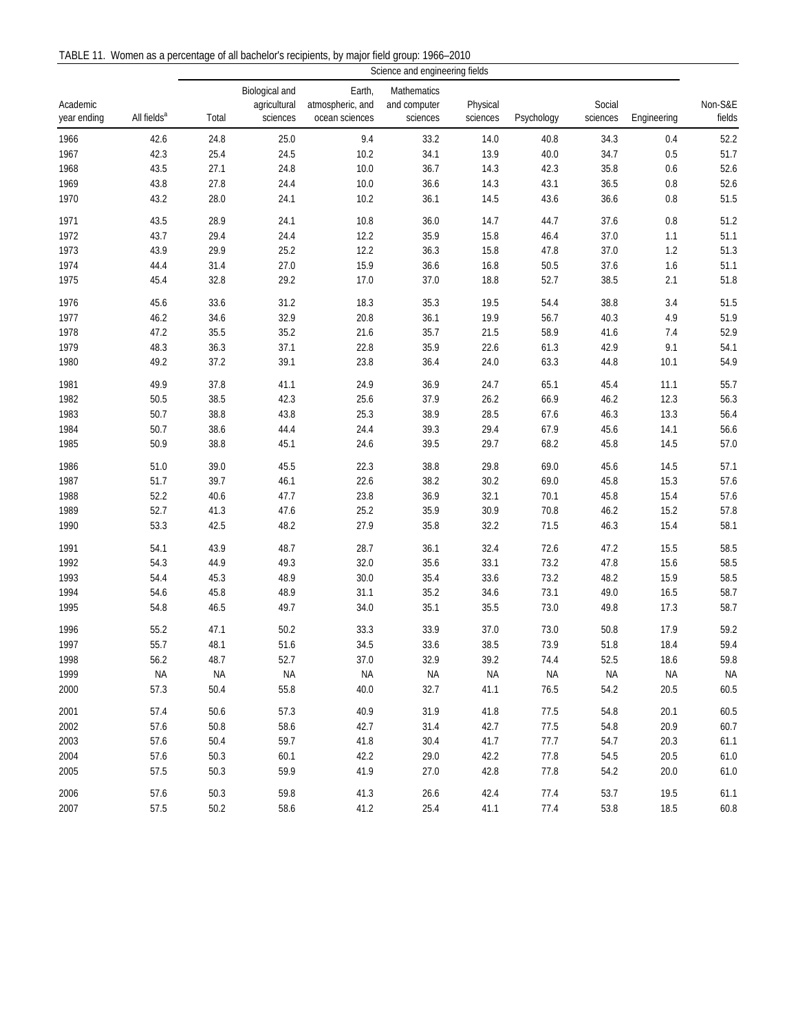TABLE 11. Women as a percentage of all bachelor's recipients, by major field group: 1966–2010

|                         |                         | Science and engineering fields |                          |                                    |                          |                      |            |                    |             |                   |
|-------------------------|-------------------------|--------------------------------|--------------------------|------------------------------------|--------------------------|----------------------|------------|--------------------|-------------|-------------------|
|                         |                         |                                | Biological and           | Earth,                             | Mathematics              |                      |            |                    |             |                   |
| Academic<br>year ending | All fields <sup>a</sup> | Total                          | agricultural<br>sciences | atmospheric, and<br>ocean sciences | and computer<br>sciences | Physical<br>sciences | Psychology | Social<br>sciences | Engineering | Non-S&E<br>fields |
| 1966                    | 42.6                    | 24.8                           | 25.0                     | 9.4                                | 33.2                     | 14.0                 | 40.8       | 34.3               | 0.4         | 52.2              |
| 1967                    | 42.3                    | 25.4                           | 24.5                     | 10.2                               | 34.1                     | 13.9                 | 40.0       | 34.7               | 0.5         | 51.7              |
| 1968                    | 43.5                    | 27.1                           | 24.8                     | 10.0                               | 36.7                     | 14.3                 | 42.3       | 35.8               | 0.6         | 52.6              |
| 1969                    | 43.8                    | 27.8                           | 24.4                     | 10.0                               | 36.6                     | 14.3                 | 43.1       | 36.5               | $0.8\,$     | 52.6              |
| 1970                    | 43.2                    | 28.0                           | 24.1                     | 10.2                               | 36.1                     | 14.5                 | 43.6       | 36.6               | 0.8         | 51.5              |
| 1971                    | 43.5                    | 28.9                           | 24.1                     | 10.8                               | 36.0                     | 14.7                 | 44.7       | 37.6               | $0.8\,$     | 51.2              |
| 1972                    | 43.7                    | 29.4                           | 24.4                     | 12.2                               | 35.9                     | 15.8                 | 46.4       | 37.0               | 1.1         | 51.1              |
| 1973                    | 43.9                    | 29.9                           | 25.2                     | 12.2                               | 36.3                     | 15.8                 | 47.8       | 37.0               | $1.2\,$     | 51.3              |
| 1974                    | 44.4                    | 31.4                           | 27.0                     | 15.9                               | 36.6                     | 16.8                 | 50.5       | 37.6               | 1.6         | 51.1              |
| 1975                    | 45.4                    | 32.8                           | 29.2                     | 17.0                               | 37.0                     | 18.8                 | 52.7       | 38.5               | 2.1         | 51.8              |
| 1976                    | 45.6                    | 33.6                           | 31.2                     | 18.3                               | 35.3                     | 19.5                 | 54.4       | 38.8               | 3.4         | 51.5              |
| 1977                    | 46.2                    | 34.6                           | 32.9                     | 20.8                               | 36.1                     | 19.9                 | 56.7       | 40.3               | 4.9         | 51.9              |
| 1978                    | 47.2                    | 35.5                           | 35.2                     | 21.6                               | 35.7                     | 21.5                 | 58.9       | 41.6               | 7.4         | 52.9              |
| 1979                    | 48.3                    | 36.3                           | 37.1                     | 22.8                               | 35.9                     | 22.6                 | 61.3       | 42.9               | 9.1         | 54.1              |
| 1980                    | 49.2                    | 37.2                           | 39.1                     | 23.8                               | 36.4                     | 24.0                 | 63.3       | 44.8               | 10.1        | 54.9              |
| 1981                    | 49.9                    | 37.8                           | 41.1                     | 24.9                               | 36.9                     | 24.7                 | 65.1       | 45.4               | 11.1        | 55.7              |
| 1982                    | $50.5\,$                | 38.5                           | 42.3                     | 25.6                               | 37.9                     | 26.2                 | 66.9       | 46.2               | 12.3        | 56.3              |
| 1983                    | 50.7                    | 38.8                           | 43.8                     | 25.3                               | 38.9                     | 28.5                 | 67.6       | 46.3               | 13.3        | 56.4              |
| 1984                    | 50.7                    | 38.6                           | 44.4                     | 24.4                               | 39.3                     | 29.4                 | 67.9       | 45.6               | 14.1        | 56.6              |
| 1985                    | 50.9                    | 38.8                           | 45.1                     | 24.6                               | 39.5                     | 29.7                 | 68.2       | 45.8               | 14.5        | 57.0              |
| 1986                    | $51.0\,$                | 39.0                           | 45.5                     | 22.3                               | 38.8                     | 29.8                 | 69.0       | 45.6               | 14.5        | 57.1              |
| 1987                    | 51.7                    | 39.7                           | 46.1                     | 22.6                               | 38.2                     | 30.2                 | 69.0       | 45.8               | 15.3        | 57.6              |
| 1988                    | 52.2                    | 40.6                           | 47.7                     | 23.8                               | 36.9                     | 32.1                 | 70.1       | 45.8               | 15.4        | 57.6              |
| 1989                    | 52.7                    | 41.3                           | 47.6                     | 25.2                               | 35.9                     | 30.9                 | 70.8       | 46.2               | 15.2        | 57.8              |
| 1990                    | 53.3                    | 42.5                           | 48.2                     | 27.9                               | 35.8                     | 32.2                 | 71.5       | 46.3               | 15.4        | 58.1              |
| 1991                    | 54.1                    | 43.9                           | 48.7                     | 28.7                               | 36.1                     | 32.4                 | 72.6       | 47.2               | 15.5        | 58.5              |
| 1992                    | 54.3                    | 44.9                           | 49.3                     | 32.0                               | 35.6                     | 33.1                 | 73.2       | 47.8               | 15.6        | 58.5              |
| 1993                    | 54.4                    | 45.3                           | 48.9                     | 30.0                               | 35.4                     | 33.6                 | 73.2       | 48.2               | 15.9        | 58.5              |
| 1994                    | 54.6                    | 45.8                           | 48.9                     | 31.1                               | 35.2                     | 34.6                 | 73.1       | 49.0               | 16.5        | 58.7              |
| 1995                    | 54.8                    | 46.5                           | 49.7                     | 34.0                               | 35.1                     | 35.5                 | 73.0       | 49.8               | 17.3        | 58.7              |
| 1996                    | 55.2                    | 47.1                           | 50.2                     | 33.3                               | 33.9                     | 37.0                 | 73.0       | 50.8               | 17.9        | 59.2              |
| 1997                    | 55.7                    | 48.1                           | 51.6                     | 34.5                               | 33.6                     | 38.5                 | 73.9       | 51.8               | 18.4        | 59.4              |
| 1998                    | 56.2                    | 48.7                           | 52.7                     | 37.0                               | 32.9                     | 39.2                 | 74.4       | 52.5               | 18.6        | 59.8              |
| 1999                    | <b>NA</b>               | <b>NA</b>                      | NA                       | NA                                 | NA                       | <b>NA</b>            | <b>NA</b>  | <b>NA</b>          | ΝA          | NA                |
| 2000                    | 57.3                    | 50.4                           | 55.8                     | 40.0                               | 32.7                     | 41.1                 | 76.5       | 54.2               | 20.5        | 60.5              |
| 2001                    | 57.4                    | 50.6                           | 57.3                     | 40.9                               | 31.9                     | 41.8                 | 77.5       | 54.8               | 20.1        | 60.5              |
| 2002                    | 57.6                    | 50.8                           | 58.6                     | 42.7                               | 31.4                     | 42.7                 | 77.5       | 54.8               | 20.9        | 60.7              |
| 2003                    | 57.6                    | 50.4                           | 59.7                     | 41.8                               | 30.4                     | 41.7                 | 77.7       | 54.7               | 20.3        | 61.1              |
| 2004                    | 57.6                    | 50.3                           | 60.1                     | 42.2                               | 29.0                     | 42.2                 | 77.8       | 54.5               | 20.5        | 61.0              |
| 2005                    | 57.5                    | 50.3                           | 59.9                     | 41.9                               | 27.0                     | 42.8                 | 77.8       | 54.2               | 20.0        | 61.0              |
| 2006                    | 57.6                    | 50.3                           | 59.8                     | 41.3                               | 26.6                     | 42.4                 | 77.4       | 53.7               | 19.5        | 61.1              |
| 2007                    | 57.5                    | 50.2                           | 58.6                     | 41.2                               | 25.4                     | 41.1                 | 77.4       | 53.8               | 18.5        | 60.8              |